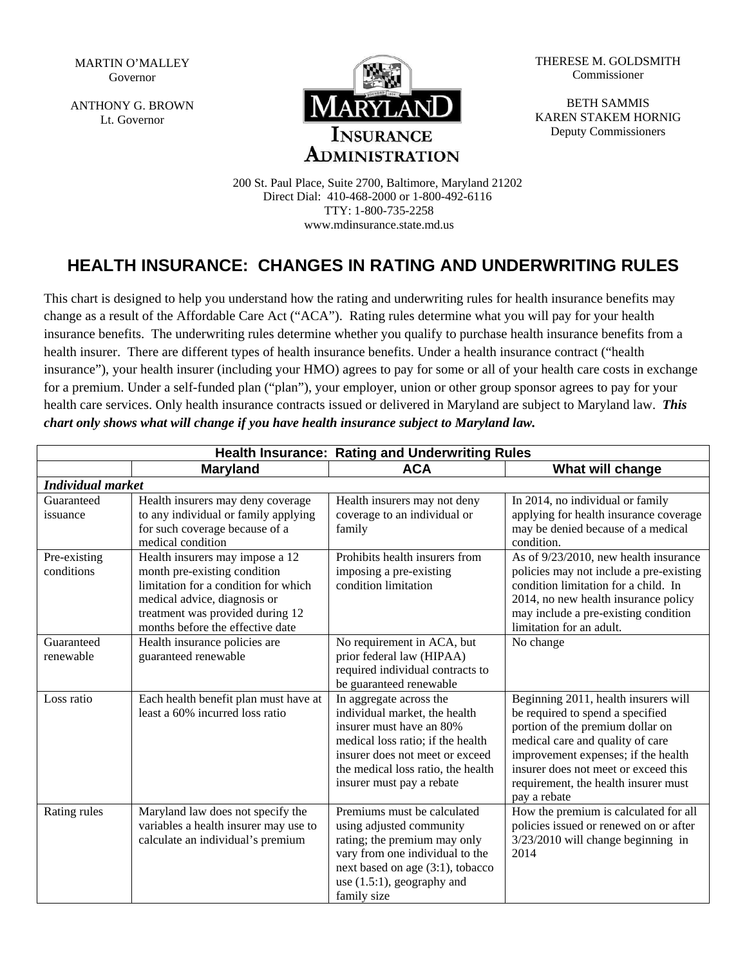MARTIN O'MALLEY Governor

ANTHONY G. BROWN Lt. Governor



THERESE M. GOLDSMITH Commissioner

BETH SAMMIS KAREN STAKEM HORNIG Deputy Commissioners

200 St. Paul Place, Suite 2700, Baltimore, Maryland 21202 Direct Dial: 410-468-2000 or 1-800-492-6116 TTY: 1-800-735-2258 www.mdinsurance.state.md.us

## **HEALTH INSURANCE: CHANGES IN RATING AND UNDERWRITING RULES**

This chart is designed to help you understand how the rating and underwriting rules for health insurance benefits may change as a result of the Affordable Care Act ("ACA"). Rating rules determine what you will pay for your health insurance benefits. The underwriting rules determine whether you qualify to purchase health insurance benefits from a health insurer. There are different types of health insurance benefits. Under a health insurance contract ("health insurance"), your health insurer (including your HMO) agrees to pay for some or all of your health care costs in exchange for a premium. Under a self-funded plan ("plan"), your employer, union or other group sponsor agrees to pay for your health care services. Only health insurance contracts issued or delivered in Maryland are subject to Maryland law. *This chart only shows what will change if you have health insurance subject to Maryland law.* 

| Health Insurance: Rating and Underwriting Rules |                                                                                                                                                                                                                 |                                                                                                                                                                                                                                 |                                                                                                                                                                                                                                                                                         |  |  |
|-------------------------------------------------|-----------------------------------------------------------------------------------------------------------------------------------------------------------------------------------------------------------------|---------------------------------------------------------------------------------------------------------------------------------------------------------------------------------------------------------------------------------|-----------------------------------------------------------------------------------------------------------------------------------------------------------------------------------------------------------------------------------------------------------------------------------------|--|--|
|                                                 | <b>Maryland</b>                                                                                                                                                                                                 | <b>ACA</b>                                                                                                                                                                                                                      | What will change                                                                                                                                                                                                                                                                        |  |  |
| <b>Individual market</b>                        |                                                                                                                                                                                                                 |                                                                                                                                                                                                                                 |                                                                                                                                                                                                                                                                                         |  |  |
| Guaranteed<br>issuance                          | Health insurers may deny coverage<br>to any individual or family applying<br>for such coverage because of a<br>medical condition                                                                                | Health insurers may not deny<br>coverage to an individual or<br>family                                                                                                                                                          | In 2014, no individual or family<br>applying for health insurance coverage<br>may be denied because of a medical<br>condition.                                                                                                                                                          |  |  |
| Pre-existing<br>conditions                      | Health insurers may impose a 12<br>month pre-existing condition<br>limitation for a condition for which<br>medical advice, diagnosis or<br>treatment was provided during 12<br>months before the effective date | Prohibits health insurers from<br>imposing a pre-existing<br>condition limitation                                                                                                                                               | As of 9/23/2010, new health insurance<br>policies may not include a pre-existing<br>condition limitation for a child. In<br>2014, no new health insurance policy<br>may include a pre-existing condition<br>limitation for an adult.                                                    |  |  |
| Guaranteed<br>renewable                         | Health insurance policies are<br>guaranteed renewable                                                                                                                                                           | No requirement in ACA, but<br>prior federal law (HIPAA)<br>required individual contracts to<br>be guaranteed renewable                                                                                                          | No change                                                                                                                                                                                                                                                                               |  |  |
| Loss ratio                                      | Each health benefit plan must have at<br>least a 60% incurred loss ratio                                                                                                                                        | In aggregate across the<br>individual market, the health<br>insurer must have an 80%<br>medical loss ratio; if the health<br>insurer does not meet or exceed<br>the medical loss ratio, the health<br>insurer must pay a rebate | Beginning 2011, health insurers will<br>be required to spend a specified<br>portion of the premium dollar on<br>medical care and quality of care<br>improvement expenses; if the health<br>insurer does not meet or exceed this<br>requirement, the health insurer must<br>pay a rebate |  |  |
| Rating rules                                    | Maryland law does not specify the<br>variables a health insurer may use to<br>calculate an individual's premium                                                                                                 | Premiums must be calculated<br>using adjusted community<br>rating; the premium may only<br>vary from one individual to the<br>next based on age (3:1), tobacco<br>use $(1.5.1)$ , geography and<br>family size                  | How the premium is calculated for all<br>policies issued or renewed on or after<br>3/23/2010 will change beginning in<br>2014                                                                                                                                                           |  |  |